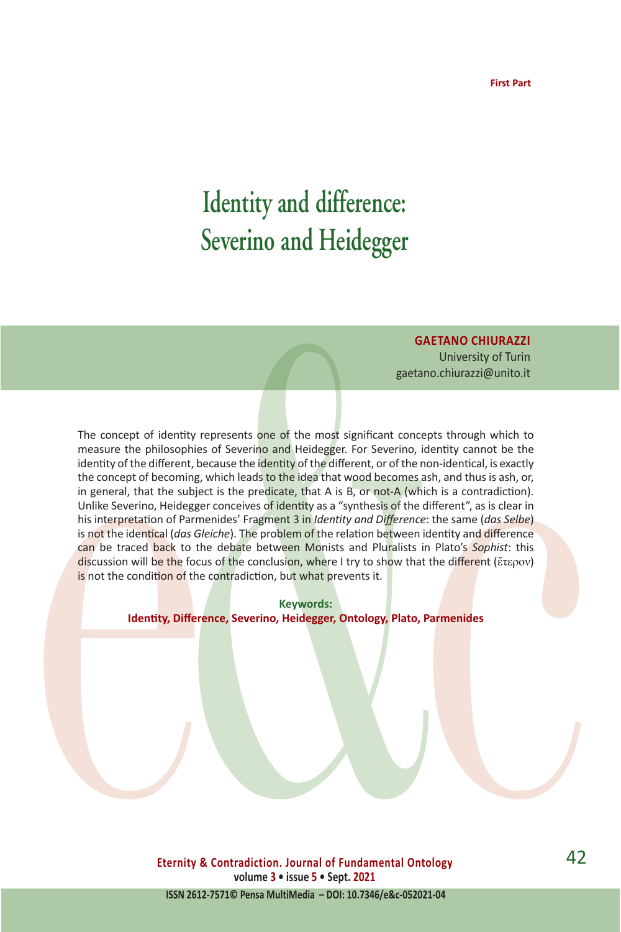# **Identity and difference: Severino and Heidegger**

**GAETANO CHIURAZZI** 

University of Turin gaetano.chiurazzi@unito.it

The concept of identity represents one of the most significant concepts through which to measure the philosophies of Severino and Heidegger. For Severino, identity cannot be the identity of the different, because the identity of the different, or of the non-identical, is exactly the concept of becoming, which leads to the idea that wood becomes ash, and thus is ash, or, in general, that the subject is the predicate, that A is B, or not-A (which is a contradiction). Unlike Severino, Heidegger conceives of identity as a "synthesis of the different", as is clear in his interpretation of Parmenides' Fragment 3 in *Identity and Difference*: the same (*das Selbe*) is not the identical (*das Gleiche*). The problem of the relation between identity and difference can be traced back to the debate between Monists and Pluralists in Plato's *Sophist*: this discussion will be the focus of the conclusion, where I try to show that the different (ἕτερον) is not the condition of the contradiction, but what prevents it.

> **Keywords: Identity, Difference, Severino, Heidegger, Ontology, Plato, Parmenides**

**Eternity & Contradiction. Journal of Fundamental Ontology volume 3 • issue 5 • Sept. 2021**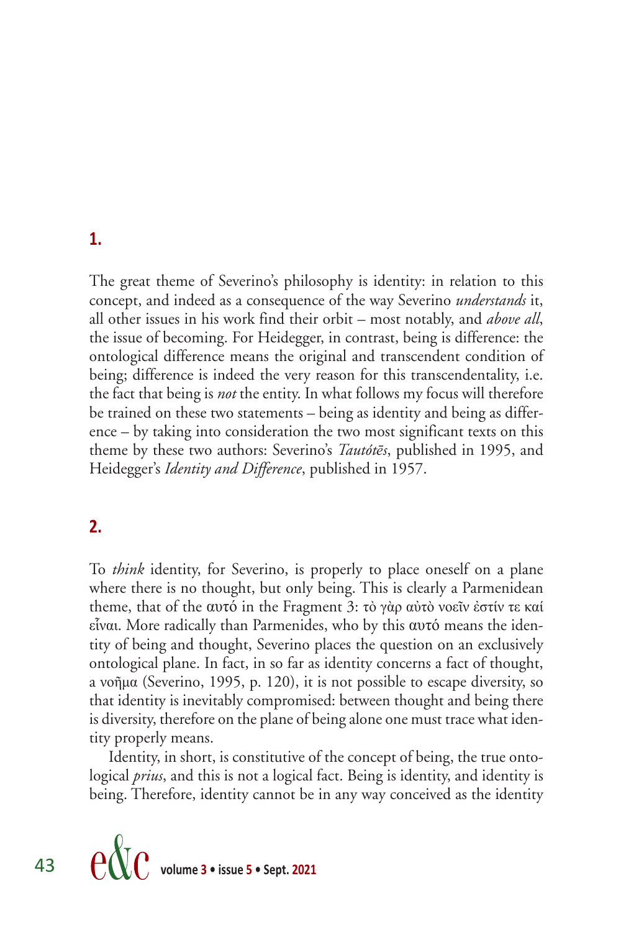### **1.**

The great theme of Severino's philosophy is identity: in relation to this concept, and indeed as a consequence of the way Severino *understands* it, all other issues in his work find their orbit – most notably, and *above all*, the issue of becoming. For Heidegger, in contrast, being is difference: the ontological difference means the original and transcendent condition of being; difference is indeed the very reason for this transcendentality, i.e. the fact that being is *not* the entity. In what follows my focus will therefore be trained on these two statements – being as identity and being as difference – by taking into consideration the two most significant texts on this theme by these two authors: Severino's *Tautótēs*, published in 1995, and Heidegger's *Identity and Difference*, published in 1957.

## **2.**

To *think* identity, for Severino, is properly to place oneself on a plane where there is no thought, but only being. This is clearly a Parmenidean theme, that of the αυτό in the Fragment 3: τò γὰρ αὐτὸ νοεῖν ἐστίν τε καί εἷναι. More radically than Parmenides, who by this αυτό means the identity of being and thought, Severino places the question on an exclusively ontological plane. In fact, in so far as identity concerns a fact of thought, a νοῆμα (Severino, 1995, p. 120), it is not possible to escape diversity, so that identity is inevitably compromised: between thought and being there is diversity, therefore on the plane of being alone one must trace what identity properly means.

Identity, in short, is constitutive of the concept of being, the true ontological *prius*, and this is not a logical fact. Being is identity, and identity is being. Therefore, identity cannot be in any way conceived as the identity

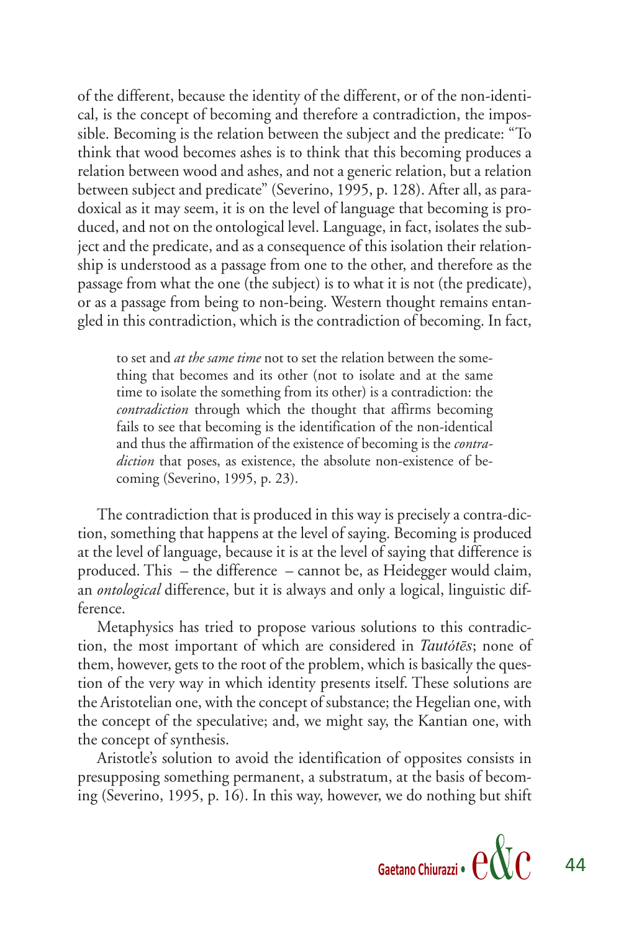of the different, because the identity of the different, or of the non-identical, is the concept of becoming and therefore a contradiction, the impossible. Becoming is the relation between the subject and the predicate: "To think that wood becomes ashes is to think that this becoming produces a relation between wood and ashes, and not a generic relation, but a relation between subject and predicate" (Severino, 1995, p. 128). After all, as paradoxical as it may seem, it is on the level of language that becoming is produced, and not on the ontological level. Language, in fact, isolates the subject and the predicate, and as a consequence of this isolation their relationship is understood as a passage from one to the other, and therefore as the passage from what the one (the subject) is to what it is not (the predicate), or as a passage from being to non-being. Western thought remains entangled in this contradiction, which is the contradiction of becoming. In fact,

to set and *at the same time* not to set the relation between the something that becomes and its other (not to isolate and at the same time to isolate the something from its other) is a contradiction: the *contradiction* through which the thought that affirms becoming fails to see that becoming is the identification of the non-identical and thus the affirmation of the existence of becoming is the *contradiction* that poses, as existence, the absolute non-existence of becoming (Severino, 1995, p. 23).

The contradiction that is produced in this way is precisely a contra-diction, something that happens at the level of saying. Becoming is produced at the level of language, because it is at the level of saying that difference is produced. This – the difference – cannot be, as Heidegger would claim, an *ontological* difference, but it is always and only a logical, linguistic difference.

Metaphysics has tried to propose various solutions to this contradiction, the most important of which are considered in *Tautόtēs*; none of them, however, gets to the root of the problem, which is basically the question of the very way in which identity presents itself. These solutions are the Aristotelian one, with the concept of substance; the Hegelian one, with the concept of the speculative; and, we might say, the Kantian one, with the concept of synthesis.

Aristotle's solution to avoid the identification of opposites consists in presupposing something permanent, a substratum, at the basis of becoming (Severino, 1995, p. 16). In this way, however, we do nothing but shift

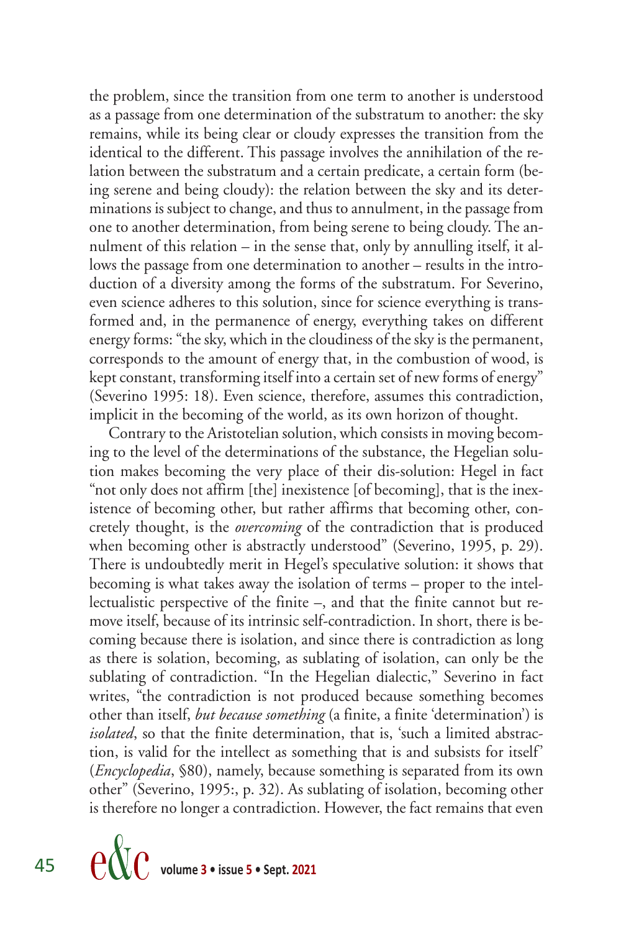the problem, since the transition from one term to another is understood as a passage from one determination of the substratum to another: the sky remains, while its being clear or cloudy expresses the transition from the identical to the different. This passage involves the annihilation of the relation between the substratum and a certain predicate, a certain form (being serene and being cloudy): the relation between the sky and its determinations is subject to change, and thus to annulment, in the passage from one to another determination, from being serene to being cloudy. The annulment of this relation – in the sense that, only by annulling itself, it allows the passage from one determination to another – results in the introduction of a diversity among the forms of the substratum. For Severino, even science adheres to this solution, since for science everything is transformed and, in the permanence of energy, everything takes on different energy forms: "the sky, which in the cloudiness of the sky is the permanent, corresponds to the amount of energy that, in the combustion of wood, is kept constant, transforming itself into a certain set of new forms of energy" (Severino 1995: 18). Even science, therefore, assumes this contradiction, implicit in the becoming of the world, as its own horizon of thought.

Contrary to the Aristotelian solution, which consists in moving becoming to the level of the determinations of the substance, the Hegelian solution makes becoming the very place of their dis-solution: Hegel in fact "not only does not affirm [the] inexistence [of becoming], that is the inexistence of becoming other, but rather affirms that becoming other, concretely thought, is the *overcoming* of the contradiction that is produced when becoming other is abstractly understood" (Severino, 1995, p. 29). There is undoubtedly merit in Hegel's speculative solution: it shows that becoming is what takes away the isolation of terms – proper to the intellectualistic perspective of the finite –, and that the finite cannot but remove itself, because of its intrinsic self-contradiction. In short, there is becoming because there is isolation, and since there is contradiction as long as there is solation, becoming, as sublating of isolation, can only be the sublating of contradiction. "In the Hegelian dialectic," Severino in fact writes, "the contradiction is not produced because something becomes other than itself, *but because something* (a finite, a finite 'determination') is *isolated*, so that the finite determination, that is, 'such a limited abstraction, is valid for the intellect as something that is and subsists for itself' (*Encyclopedia*, §80), namely, because something is separated from its own other" (Severino, 1995:, p. 32). As sublating of isolation, becoming other is therefore no longer a contradiction. However, the fact remains that even

45 
$$
\text{e}\&\text{c}
$$
 volume 3 • issue 5 • Sept. 2021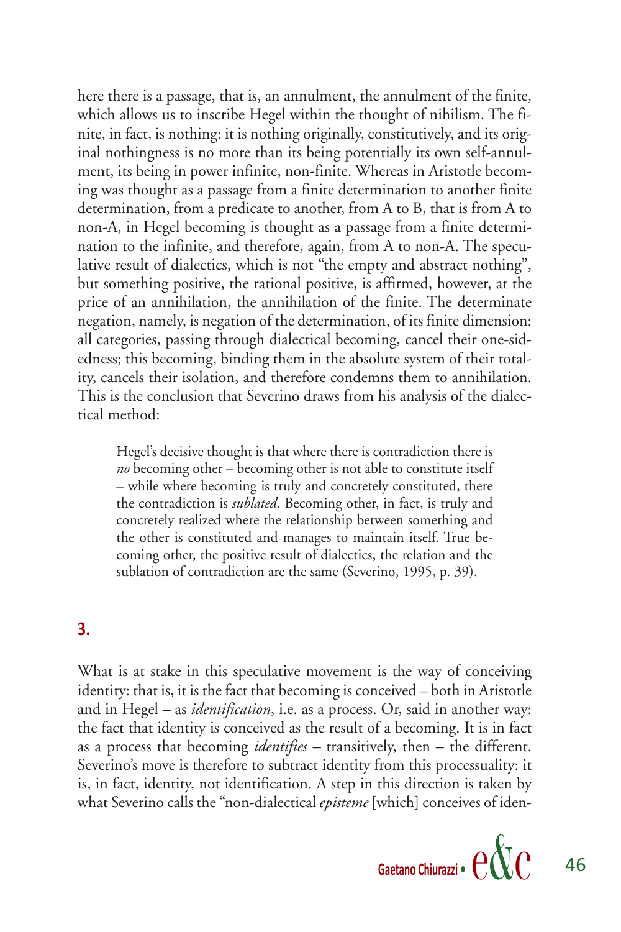here there is a passage, that is, an annulment, the annulment of the finite, which allows us to inscribe Hegel within the thought of nihilism. The finite, in fact, is nothing: it is nothing originally, constitutively, and its original nothingness is no more than its being potentially its own self-annulment, its being in power infinite, non-finite. Whereas in Aristotle becoming was thought as a passage from a finite determination to another finite determination, from a predicate to another, from A to B, that is from A to non-A, in Hegel becoming is thought as a passage from a finite determination to the infinite, and therefore, again, from A to non-A. The speculative result of dialectics, which is not "the empty and abstract nothing", but something positive, the rational positive, is affirmed, however, at the price of an annihilation, the annihilation of the finite. The determinate negation, namely, is negation of the determination, of its finite dimension: all categories, passing through dialectical becoming, cancel their one-sidedness; this becoming, binding them in the absolute system of their totality, cancels their isolation, and therefore condemns them to annihilation. This is the conclusion that Severino draws from his analysis of the dialectical method:

Hegel's decisive thought is that where there is contradiction there is *no* becoming other – becoming other is not able to constitute itself – while where becoming is truly and concretely constituted, there the contradiction is *sublated*. Becoming other, in fact, is truly and concretely realized where the relationship between something and the other is constituted and manages to maintain itself. True becoming other, the positive result of dialectics, the relation and the sublation of contradiction are the same (Severino, 1995, p. 39).

#### **3.**

What is at stake in this speculative movement is the way of conceiving identity: that is, it is the fact that becoming is conceived – both in Aristotle and in Hegel – as *identification*, i.e. as a process. Or, said in another way: the fact that identity is conceived as the result of a becoming. It is in fact as a process that becoming *identifies –* transitively, then – the different. Severino's move is therefore to subtract identity from this processuality: it is, in fact, identity, not identification. A step in this direction is taken by what Severino calls the "non-dialectical *episteme* [which] conceives of iden-

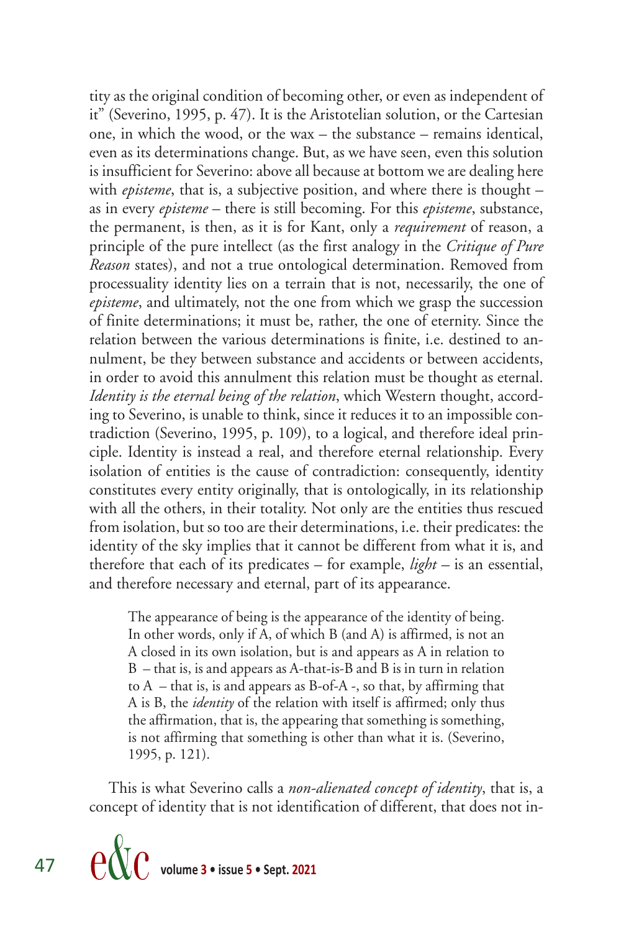tity as the original condition of becoming other, or even as independent of it" (Severino, 1995, p. 47). It is the Aristotelian solution, or the Cartesian one, in which the wood, or the wax – the substance – remains identical, even as its determinations change. But, as we have seen, even this solution is insufficient for Severino: above all because at bottom we are dealing here with *episteme*, that is, a subjective position, and where there is thought – as in every *episteme* – there is still becoming. For this *episteme*, substance, the permanent, is then, as it is for Kant, only a *requirement* of reason, a principle of the pure intellect (as the first analogy in the *Critique of Pure Reason* states), and not a true ontological determination. Removed from processuality identity lies on a terrain that is not, necessarily, the one of *episteme*, and ultimately, not the one from which we grasp the succession of finite determinations; it must be, rather, the one of eternity. Since the relation between the various determinations is finite, i.e. destined to annulment, be they between substance and accidents or between accidents, in order to avoid this annulment this relation must be thought as eternal. *Identity is the eternal being of the relation*, which Western thought, according to Severino, is unable to think, since it reduces it to an impossible contradiction (Severino, 1995, p. 109), to a logical, and therefore ideal principle. Identity is instead a real, and therefore eternal relationship. Every isolation of entities is the cause of contradiction: consequently, identity constitutes every entity originally, that is ontologically, in its relationship with all the others, in their totality. Not only are the entities thus rescued from isolation, but so too are their determinations, i.e. their predicates: the identity of the sky implies that it cannot be different from what it is, and therefore that each of its predicates – for example, *light –* is an essential, and therefore necessary and eternal, part of its appearance.

The appearance of being is the appearance of the identity of being. In other words, only if A, of which B (and A) is affirmed, is not an A closed in its own isolation, but is and appears as A in relation to B – that is, is and appears as A-that-is-B and B is in turn in relation to  $A$  – that is, is and appears as B-of-A -, so that, by affirming that A is B, the *identity* of the relation with itself is affirmed; only thus the affirmation, that is, the appearing that something is something, is not affirming that something is other than what it is. (Severino, 1995, p. 121).

This is what Severino calls a *non-alienated concept of identity*, that is, a concept of identity that is not identification of different, that does not in-

47 **volume 3 • issue 5 • Sept. 2021**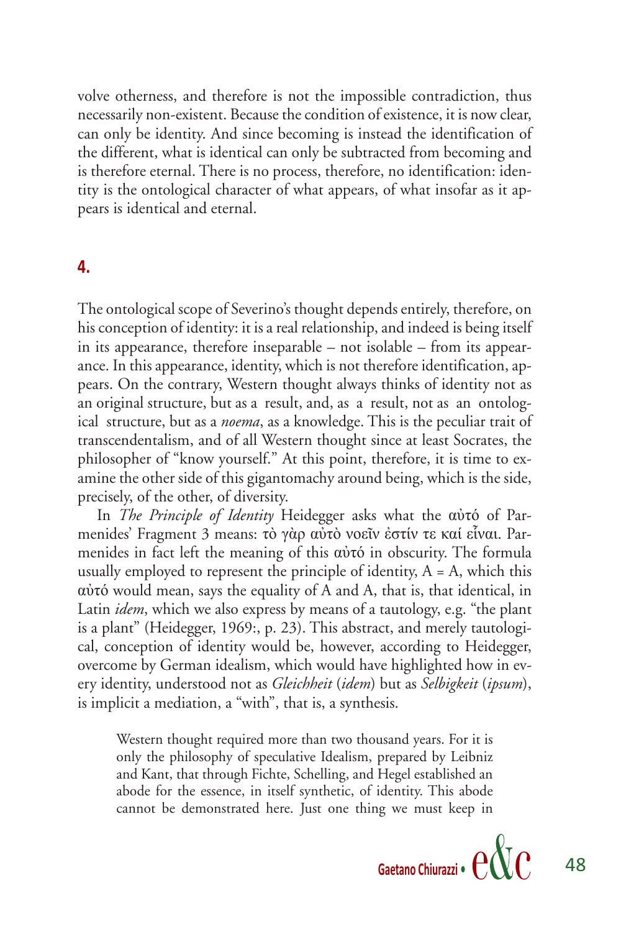volve otherness, and therefore is not the impossible contradiction, thus necessarily non-existent. Because the condition of existence, it is now clear, can only be identity. And since becoming is instead the identification of the different, what is identical can only be subtracted from becoming and is therefore eternal. There is no process, therefore, no identification: identity is the ontological character of what appears, of what insofar as it appears is identical and eternal.

#### **4.**

The ontological scope of Severino's thought depends entirely, therefore, on his conception of identity: it is a real relationship, and indeed is being itself in its appearance, therefore inseparable – not isolable – from its appearance. In this appearance, identity, which is not therefore identification, appears. On the contrary, Western thought always thinks of identity not as an original structure, but as a result, and, as a result, not as an ontological structure, but as a *noema*, as a knowledge. This is the peculiar trait of transcendentalism, and of all Western thought since at least Socrates, the philosopher of "know yourself." At this point, therefore, it is time to examine the other side of this gigantomachy around being, which is the side, precisely, of the other, of diversity.

In *The Principle of Identity* Heidegger asks what the αὐτό of Parmenides' Fragment 3 means: τò γὰρ αὐτὸ νοεῖν ἐστίν τε καί εἷναι. Parmenides in fact left the meaning of this αὐτό in obscurity. The formula usually employed to represent the principle of identity,  $A = A$ , which this αὐτό would mean, says the equality of A and A, that is, that identical, in Latin *idem*, which we also express by means of a tautology, e.g. "the plant is a plant" (Heidegger, 1969:, p. 23). This abstract, and merely tautological, conception of identity would be, however, according to Heidegger, overcome by German idealism, which would have highlighted how in every identity, understood not as *Gleichheit* (*idem*) but as *Selbigkeit* (*ipsum*), is implicit a mediation, a "with", that is, a synthesis.

Western thought required more than two thousand years. For it is only the philosophy of speculative Idealism, prepared by Leibniz and Kant, that through Fichte, Schelling, and Hegel established an abode for the essence, in itself synthetic, of identity. This abode cannot be demonstrated here. Just one thing we must keep in

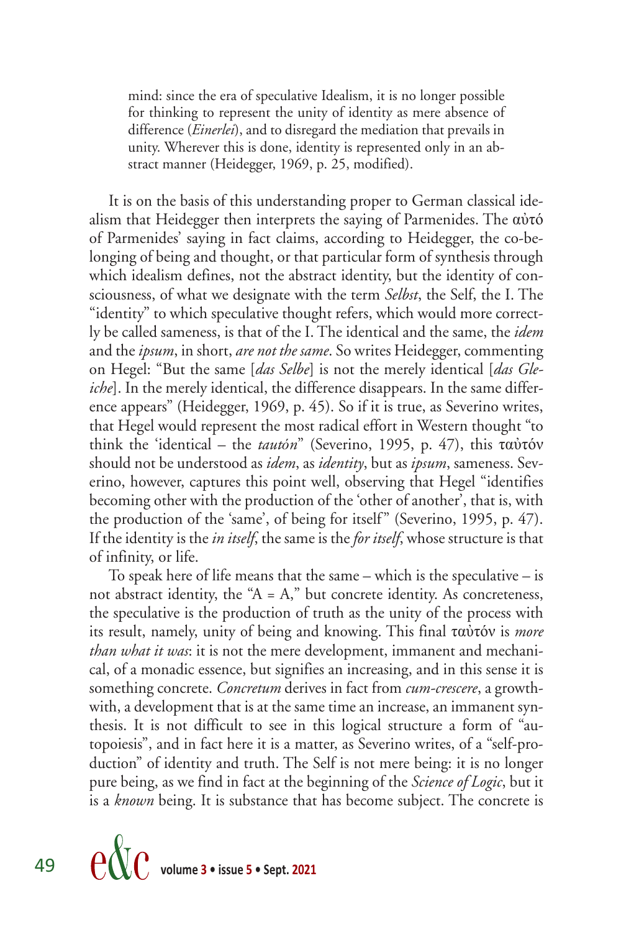mind: since the era of speculative Idealism, it is no longer possible for thinking to represent the unity of identity as mere absence of difference (*Einerlei*), and to disregard the mediation that prevails in unity. Wherever this is done, identity is represented only in an abstract manner (Heidegger, 1969, p. 25, modified).

It is on the basis of this understanding proper to German classical idealism that Heidegger then interprets the saying of Parmenides. The αὐτό of Parmenides' saying in fact claims, according to Heidegger, the co-belonging of being and thought, or that particular form of synthesis through which idealism defines, not the abstract identity, but the identity of consciousness, of what we designate with the term *Selbst*, the Self, the I. The "identity" to which speculative thought refers, which would more correctly be called sameness, is that of the I. The identical and the same, the *idem*  and the *ipsum*, in short, *are not the same*. So writes Heidegger, commenting on Hegel: "But the same [*das Selbe*] is not the merely identical [*das Gleiche*]. In the merely identical, the difference disappears. In the same difference appears" (Heidegger, 1969, p. 45). So if it is true, as Severino writes, that Hegel would represent the most radical effort in Western thought "to think the 'identical – the *tautόn*" (Severino, 1995, p. 47), this ταὐτόν should not be understood as *idem*, as *identity*, but as *ipsum*, sameness. Severino, however, captures this point well, observing that Hegel "identifies becoming other with the production of the 'other of another', that is, with the production of the 'same', of being for itself" (Severino, 1995, p. 47). If the identity is the *in itself*, the same is the *for itself*, whose structure is that of infinity, or life.

To speak here of life means that the same – which is the speculative – is not abstract identity, the " $A = A$ ," but concrete identity. As concreteness, the speculative is the production of truth as the unity of the process with its result, namely, unity of being and knowing. This final ταὐτόν is *more than what it was*: it is not the mere development, immanent and mechanical, of a monadic essence, but signifies an increasing, and in this sense it is something concrete. *Concretum* derives in fact from *cum-crescere*, a growthwith, a development that is at the same time an increase, an immanent synthesis. It is not difficult to see in this logical structure a form of "autopoiesis", and in fact here it is a matter, as Severino writes, of a "self-production" of identity and truth. The Self is not mere being: it is no longer pure being, as we find in fact at the beginning of the *Science of Logic*, but it is a *known* being. It is substance that has become subject. The concrete is

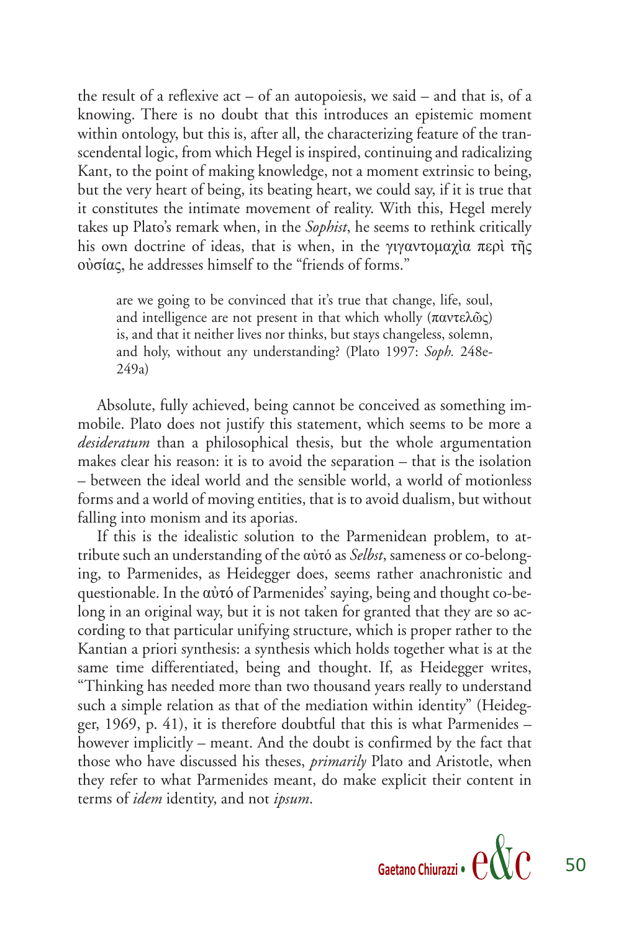the result of a reflexive act – of an autopoiesis, we said – and that is, of a knowing. There is no doubt that this introduces an epistemic moment within ontology, but this is, after all, the characterizing feature of the transcendental logic, from which Hegel is inspired, continuing and radicalizing Kant, to the point of making knowledge, not a moment extrinsic to being, but the very heart of being, its beating heart, we could say, if it is true that it constitutes the intimate movement of reality. With this, Hegel merely takes up Plato's remark when, in the *Sophist*, he seems to rethink critically his own doctrine of ideas, that is when, in the γιγαντομαχία περί τῆς οὐσίας, he addresses himself to the "friends of forms."

are we going to be convinced that it's true that change, life, soul, and intelligence are not present in that which wholly  $(παντελωσς)$ is, and that it neither lives nor thinks, but stays changeless, solemn, and holy, without any understanding? (Plato 1997: *Soph.* 248e-249a)

Absolute, fully achieved, being cannot be conceived as something immobile. Plato does not justify this statement, which seems to be more a *desideratum* than a philosophical thesis, but the whole argumentation makes clear his reason: it is to avoid the separation – that is the isolation – between the ideal world and the sensible world, a world of motionless forms and a world of moving entities, that is to avoid dualism, but without falling into monism and its aporias.

If this is the idealistic solution to the Parmenidean problem, to attribute such an understanding of the αὐτό as *Selbst*, sameness or co-belonging, to Parmenides, as Heidegger does, seems rather anachronistic and questionable. In the αὐτό of Parmenides' saying, being and thought co-belong in an original way, but it is not taken for granted that they are so according to that particular unifying structure, which is proper rather to the Kantian a priori synthesis: a synthesis which holds together what is at the same time differentiated, being and thought. If, as Heidegger writes, "Thinking has needed more than two thousand years really to understand such a simple relation as that of the mediation within identity" (Heidegger, 1969, p. 41), it is therefore doubtful that this is what Parmenides – however implicitly – meant. And the doubt is confirmed by the fact that those who have discussed his theses, *primarily* Plato and Aristotle, when they refer to what Parmenides meant, do make explicit their content in terms of *idem* identity, and not *ipsum*.

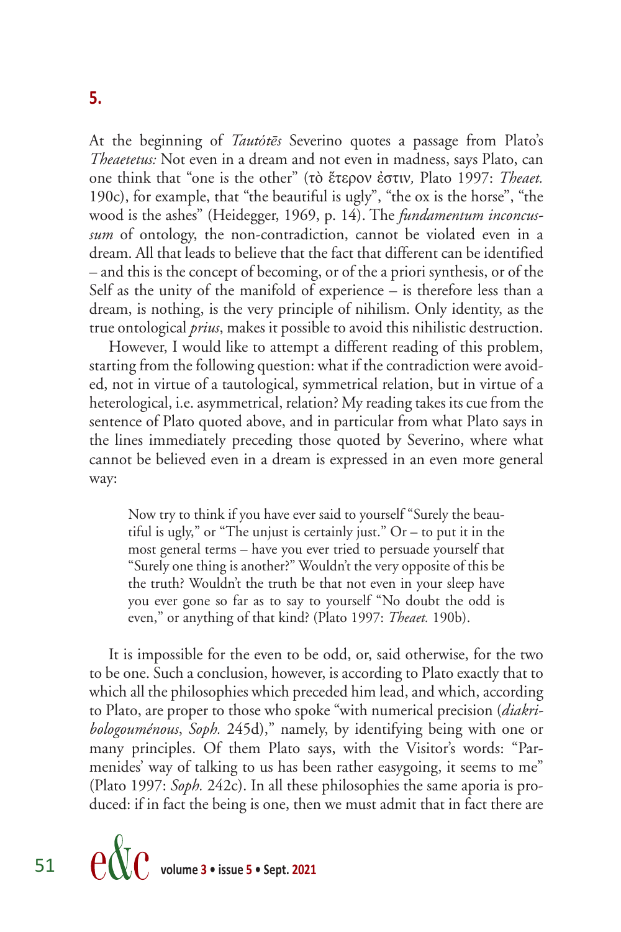At the beginning of *Tautótēs* Severino quotes a passage from Plato's *Theaetetus:* Not even in a dream and not even in madness, says Plato, can one think that "one is the other" (τὸ ἕτερον ἐστιν*,* Plato 1997: *Theaet.*  190c), for example, that "the beautiful is ugly", "the ox is the horse", "the wood is the ashes" (Heidegger, 1969, p. 14). The *fundamentum inconcussum* of ontology, the non-contradiction, cannot be violated even in a dream. All that leads to believe that the fact that different can be identified – and this is the concept of becoming, or of the a priori synthesis, or of the Self as the unity of the manifold of experience – is therefore less than a dream, is nothing, is the very principle of nihilism. Only identity, as the true ontological *prius*, makes it possible to avoid this nihilistic destruction.

However, I would like to attempt a different reading of this problem, starting from the following question: what if the contradiction were avoided, not in virtue of a tautological, symmetrical relation, but in virtue of a heterological, i.e. asymmetrical, relation? My reading takes its cue from the sentence of Plato quoted above, and in particular from what Plato says in the lines immediately preceding those quoted by Severino, where what cannot be believed even in a dream is expressed in an even more general way:

Now try to think if you have ever said to yourself "Surely the beautiful is ugly," or "The unjust is certainly just."  $Or - to$  put it in the most general terms – have you ever tried to persuade yourself that "Surely one thing is another?" Wouldn't the very opposite of this be the truth? Wouldn't the truth be that not even in your sleep have you ever gone so far as to say to yourself "No doubt the odd is even," or anything of that kind? (Plato 1997: *Theaet.* 190b).

It is impossible for the even to be odd, or, said otherwise, for the two to be one. Such a conclusion, however, is according to Plato exactly that to which all the philosophies which preceded him lead, and which, according to Plato, are proper to those who spoke "with numerical precision (*diakribologouménous*, *Soph.* 245d)," namely, by identifying being with one or many principles. Of them Plato says, with the Visitor's words: "Parmenides' way of talking to us has been rather easygoing, it seems to me" (Plato 1997: *Soph.* 242c). In all these philosophies the same aporia is produced: if in fact the being is one, then we must admit that in fact there are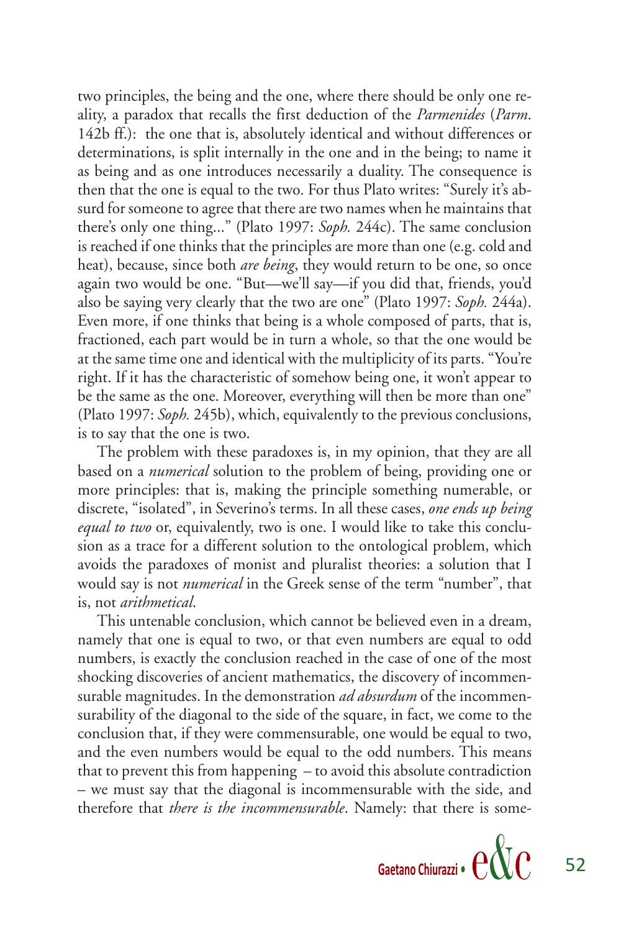two principles, the being and the one, where there should be only one reality, a paradox that recalls the first deduction of the *Parmenides* (*Parm*. 142b ff.): the one that is, absolutely identical and without differences or determinations, is split internally in the one and in the being; to name it as being and as one introduces necessarily a duality. The consequence is then that the one is equal to the two. For thus Plato writes: "Surely it's absurd for someone to agree that there are two names when he maintains that there's only one thing..." (Plato 1997: *Soph.* 244c). The same conclusion is reached if one thinks that the principles are more than one (e.g. cold and heat), because, since both *are being*, they would return to be one, so once again two would be one. "But—we'll say—if you did that, friends, you'd also be saying very clearly that the two are one" (Plato 1997: *Soph.* 244a). Even more, if one thinks that being is a whole composed of parts, that is, fractioned, each part would be in turn a whole, so that the one would be at the same time one and identical with the multiplicity of its parts. "You're right. If it has the characteristic of somehow being one, it won't appear to be the same as the one. Moreover, everything will then be more than one" (Plato 1997: *Soph.* 245b), which, equivalently to the previous conclusions, is to say that the one is two.

The problem with these paradoxes is, in my opinion, that they are all based on a *numerical* solution to the problem of being, providing one or more principles: that is, making the principle something numerable, or discrete, "isolated", in Severino's terms. In all these cases, *one ends up being equal to two* or, equivalently, two is one. I would like to take this conclusion as a trace for a different solution to the ontological problem, which avoids the paradoxes of monist and pluralist theories: a solution that I would say is not *numerical* in the Greek sense of the term "number", that is, not *arithmetical*.

This untenable conclusion, which cannot be believed even in a dream, namely that one is equal to two, or that even numbers are equal to odd numbers, is exactly the conclusion reached in the case of one of the most shocking discoveries of ancient mathematics, the discovery of incommensurable magnitudes. In the demonstration *ad absurdum* of the incommensurability of the diagonal to the side of the square, in fact, we come to the conclusion that, if they were commensurable, one would be equal to two, and the even numbers would be equal to the odd numbers. This means that to prevent this from happening – to avoid this absolute contradiction – we must say that the diagonal is incommensurable with the side, and therefore that *there is the incommensurable*. Namely: that there is some-



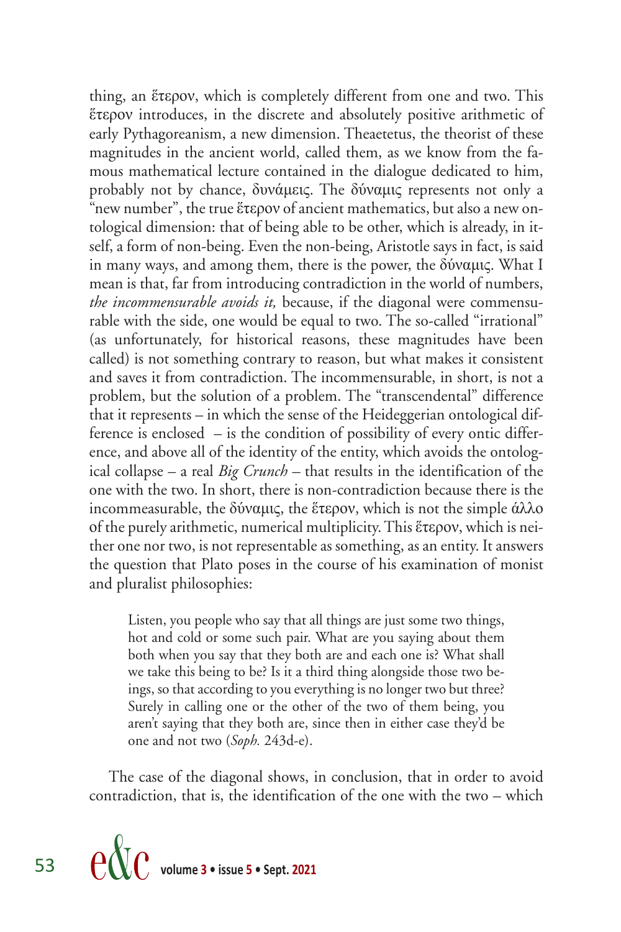thing, an ἕτερον, which is completely different from one and two. This ἕτερον introduces, in the discrete and absolutely positive arithmetic of early Pythagoreanism, a new dimension. Theaetetus, the theorist of these magnitudes in the ancient world, called them, as we know from the famous mathematical lecture contained in the dialogue dedicated to him, probably not by chance, δυνάμεις. The δύναμις represents not only a "new number", the true ἕτερον of ancient mathematics, but also a new ontological dimension: that of being able to be other, which is already, in itself, a form of non-being. Even the non-being, Aristotle says in fact, is said in many ways, and among them, there is the power, the δύναμις. What I mean is that, far from introducing contradiction in the world of numbers, *the incommensurable avoids it,* because, if the diagonal were commensurable with the side, one would be equal to two. The so-called "irrational" (as unfortunately, for historical reasons, these magnitudes have been called) is not something contrary to reason, but what makes it consistent and saves it from contradiction. The incommensurable, in short, is not a problem, but the solution of a problem. The "transcendental" difference that it represents – in which the sense of the Heideggerian ontological difference is enclosed – is the condition of possibility of every ontic difference, and above all of the identity of the entity, which avoids the ontological collapse – a real *Big Crunch –* that results in the identification of the one with the two. In short, there is non-contradiction because there is the incommeasurable, the δύναμις, the ἕτερον, which is not the simple άλλο of the purely arithmetic, numerical multiplicity. This ἕτερον, which is neither one nor two, is not representable as something, as an entity. It answers the question that Plato poses in the course of his examination of monist and pluralist philosophies:

Listen, you people who say that all things are just some two things, hot and cold or some such pair. What are you saying about them both when you say that they both are and each one is? What shall we take this being to be? Is it a third thing alongside those two beings, so that according to you everything is no longer two but three? Surely in calling one or the other of the two of them being, you aren't saying that they both are, since then in either case they'd be one and not two (*Soph.* 243d-e).

The case of the diagonal shows, in conclusion, that in order to avoid contradiction, that is, the identification of the one with the two – which